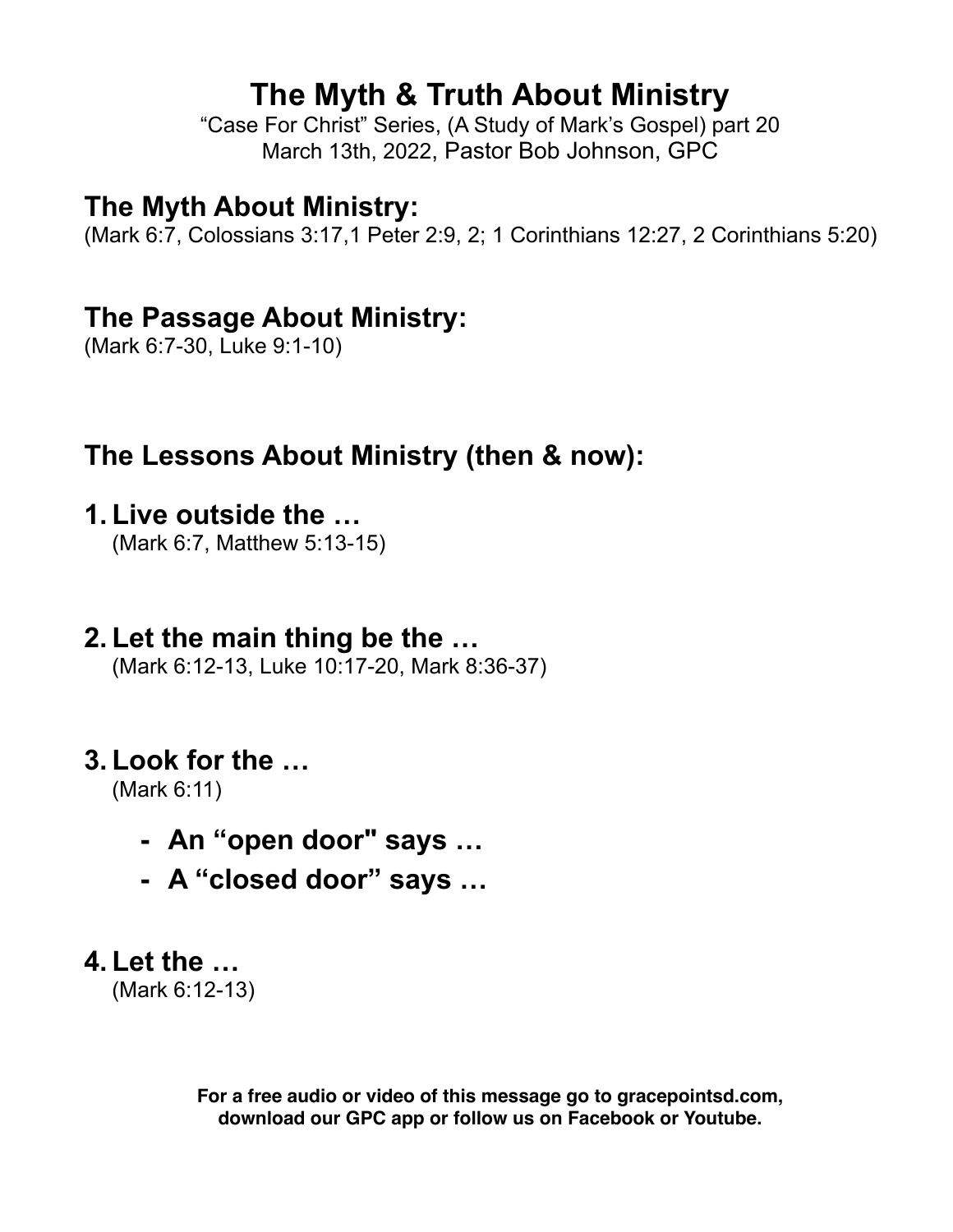# **The Myth & Truth About Ministry**

"Case For Christ" Series, (A Study of Mark's Gospel) part 20 March 13th, 2022, Pastor Bob Johnson, GPC

## **The Myth About Ministry:**

(Mark 6:7, Colossians 3:17,1 Peter 2:9, 2; 1 Corinthians 12:27, 2 Corinthians 5:20)

## **The Passage About Ministry:**

(Mark 6:7-30, Luke 9:1-10)

# **The Lessons About Ministry (then & now):**

- **1. Live outside the …** (Mark 6:7, Matthew 5:13-15)
- **2. Let the main thing be the …** (Mark 6:12-13, Luke 10:17-20, Mark 8:36-37)

# **3. Look for the …**

(Mark 6:11)

- **- An "open door" says …**
- **- A "closed door" says …**

# **4. Let the …**

(Mark 6:12-13)

**For a free audio or video of this message go to gracepointsd.com, download our GPC app or follow us on Facebook or Youtube.**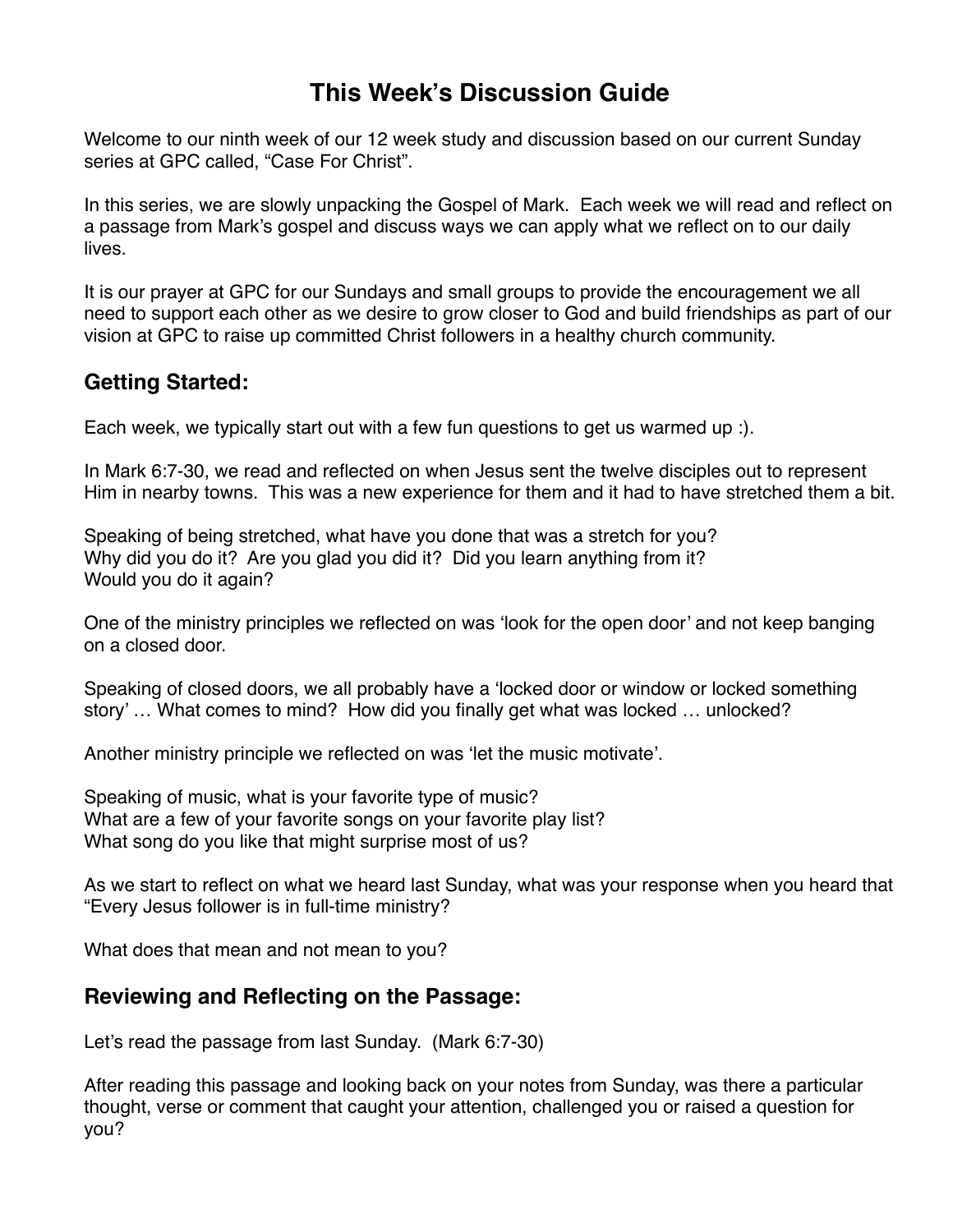### **This Week's Discussion Guide**

Welcome to our ninth week of our 12 week study and discussion based on our current Sunday series at GPC called, "Case For Christ".

In this series, we are slowly unpacking the Gospel of Mark. Each week we will read and reflect on a passage from Mark's gospel and discuss ways we can apply what we reflect on to our daily lives.

It is our prayer at GPC for our Sundays and small groups to provide the encouragement we all need to support each other as we desire to grow closer to God and build friendships as part of our vision at GPC to raise up committed Christ followers in a healthy church community.

#### **Getting Started:**

Each week, we typically start out with a few fun questions to get us warmed up :).

In Mark 6:7-30, we read and reflected on when Jesus sent the twelve disciples out to represent Him in nearby towns. This was a new experience for them and it had to have stretched them a bit.

Speaking of being stretched, what have you done that was a stretch for you? Why did you do it? Are you glad you did it? Did you learn anything from it? Would you do it again?

One of the ministry principles we reflected on was 'look for the open door' and not keep banging on a closed door.

Speaking of closed doors, we all probably have a 'locked door or window or locked something story' … What comes to mind? How did you finally get what was locked … unlocked?

Another ministry principle we reflected on was 'let the music motivate'.

Speaking of music, what is your favorite type of music? What are a few of your favorite songs on your favorite play list? What song do you like that might surprise most of us?

As we start to reflect on what we heard last Sunday, what was your response when you heard that "Every Jesus follower is in full-time ministry?

What does that mean and not mean to you?

#### **Reviewing and Reflecting on the Passage:**

Let's read the passage from last Sunday. (Mark 6:7-30)

After reading this passage and looking back on your notes from Sunday, was there a particular thought, verse or comment that caught your attention, challenged you or raised a question for you?